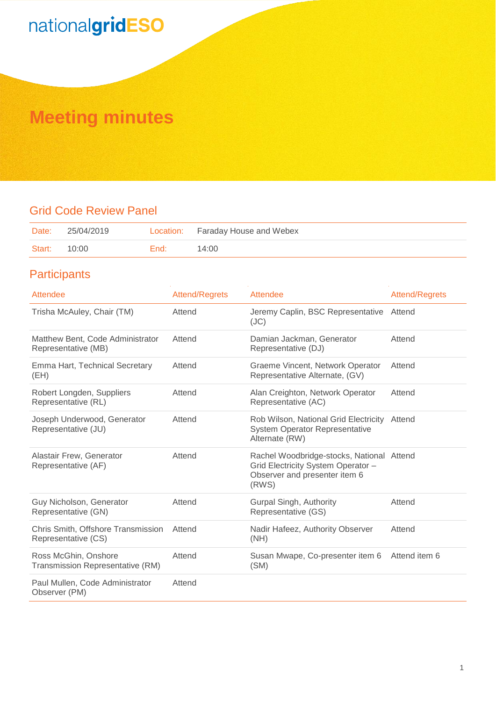## **Meeting minutes**

## Grid Code Review Panel

| Date:  | 25/04/2019 |      | Location: Faraday House and Webex |
|--------|------------|------|-----------------------------------|
| Start: | 10:00      | End: | 14:00                             |

## **Participants**

| Attendee                                                  | <b>Attend/Regrets</b> | Attendee                                                                                                                  | <b>Attend/Regrets</b> |
|-----------------------------------------------------------|-----------------------|---------------------------------------------------------------------------------------------------------------------------|-----------------------|
| Trisha McAuley, Chair (TM)                                | Attend                | Jeremy Caplin, BSC Representative<br>(JC)                                                                                 | Attend                |
| Matthew Bent, Code Administrator<br>Representative (MB)   | Attend                | Damian Jackman, Generator<br>Representative (DJ)                                                                          | Attend                |
| Emma Hart, Technical Secretary<br>(EH)                    | Attend                | Graeme Vincent, Network Operator<br>Representative Alternate, (GV)                                                        | Attend                |
| Robert Longden, Suppliers<br>Representative (RL)          | Attend                | Alan Creighton, Network Operator<br>Representative (AC)                                                                   | Attend                |
| Joseph Underwood, Generator<br>Representative (JU)        | Attend                | Rob Wilson, National Grid Electricity<br><b>System Operator Representative</b><br>Alternate (RW)                          | Attend                |
| Alastair Frew, Generator<br>Representative (AF)           | Attend                | Rachel Woodbridge-stocks, National Attend<br>Grid Electricity System Operator -<br>Observer and presenter item 6<br>(RWS) |                       |
| Guy Nicholson, Generator<br>Representative (GN)           | Attend                | Gurpal Singh, Authority<br>Representative (GS)                                                                            | Attend                |
| Chris Smith, Offshore Transmission<br>Representative (CS) | Attend                | Nadir Hafeez, Authority Observer<br>(NH)                                                                                  | Attend                |
| Ross McGhin, Onshore<br>Transmission Representative (RM)  | Attend                | Susan Mwape, Co-presenter item 6<br>(SM)                                                                                  | Attend item 6         |
| Paul Mullen, Code Administrator<br>Observer (PM)          | Attend                |                                                                                                                           |                       |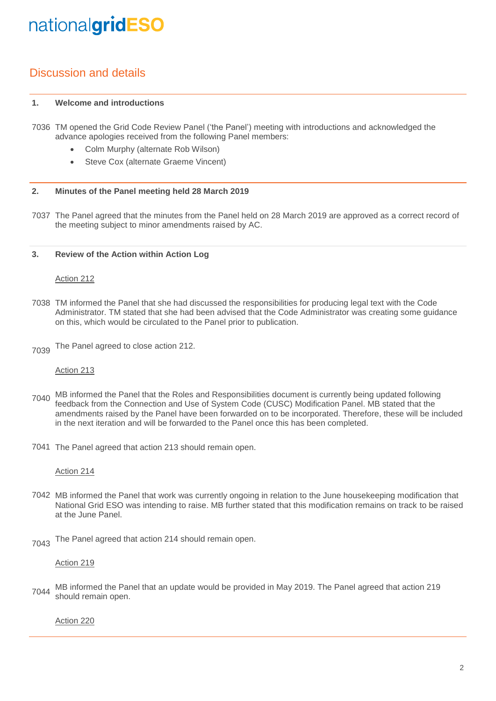## Discussion and details

#### **1. Welcome and introductions**

- 7036 TM opened the Grid Code Review Panel ('the Panel') meeting with introductions and acknowledged the advance apologies received from the following Panel members:
	- Colm Murphy (alternate Rob Wilson)
	- Steve Cox (alternate Graeme Vincent)

#### **2. Minutes of the Panel meeting held 28 March 2019**

7037 The Panel agreed that the minutes from the Panel held on 28 March 2019 are approved as a correct record of the meeting subject to minor amendments raised by AC.

#### **3. Review of the Action within Action Log**

## Action 212

- 7038 TM informed the Panel that she had discussed the responsibilities for producing legal text with the Code Administrator. TM stated that she had been advised that the Code Administrator was creating some guidance on this, which would be circulated to the Panel prior to publication.
- 7039 The Panel agreed to close action 212.

## Action 213

- 7040 MB informed the Panel that the Roles and Responsibilities document is currently being updated following<br>The feather from the Cannotics and Use of System Cade (CUSC) Medification Panel, MP stated that the feedback from the Connection and Use of System Code (CUSC) Modification Panel. MB stated that the amendments raised by the Panel have been forwarded on to be incorporated. Therefore, these will be included in the next iteration and will be forwarded to the Panel once this has been completed.
- 7041 The Panel agreed that action 213 should remain open.

### Action 214

- 7042 MB informed the Panel that work was currently ongoing in relation to the June housekeeping modification that National Grid ESO was intending to raise. MB further stated that this modification remains on track to be raised at the June Panel.
- 7043 The Panel agreed that action 214 should remain open.

## Action 219

7044 MB informed the Panel that an update would be provided in May 2019. The Panel agreed that action 219 should remain open.

Action 220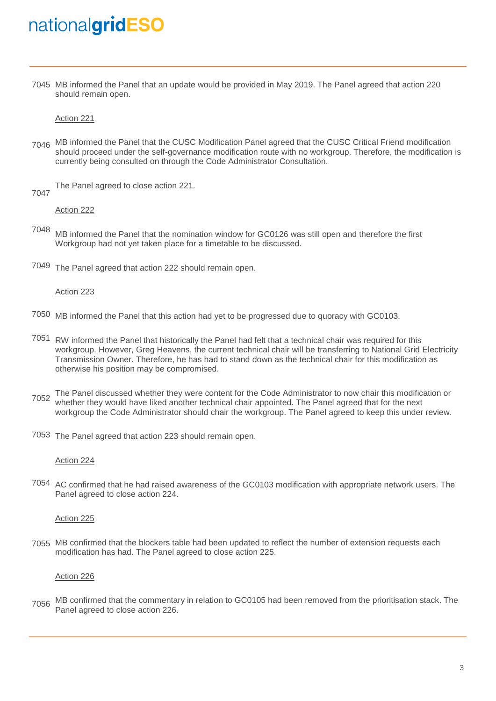7045 MB informed the Panel that an update would be provided in May 2019. The Panel agreed that action 220 should remain open.

Action 221

7046 MB informed the Panel that the CUSC Modification Panel agreed that the CUSC Critical Friend modification should proceed under the self-governance modification route with no workgroup. Therefore, the modification is currently being consulted on through the Code Administrator Consultation.

The Panel agreed to close action 221.

7047

Action 222

- 7048 MB informed the Panel that the nomination window for GC0126 was still open and therefore the first Workgroup had not yet taken place for a timetable to be discussed.
- 7049 The Panel agreed that action 222 should remain open.

### Action 223

- 7050 MB informed the Panel that this action had yet to be progressed due to quoracy with GC0103.
- 7051 RW informed the Panel that historically the Panel had felt that a technical chair was required for this workgroup. However, Greg Heavens, the current technical chair will be transferring to National Grid Electricity Transmission Owner. Therefore, he has had to stand down as the technical chair for this modification as otherwise his position may be compromised.
- The Panel discussed whether they were content for the Code Administrator to now chair this modification or<br>The Panel agreed that for the next would have liked another technical chair appointed. The Panel agreed that for th whether they would have liked another technical chair appointed. The Panel agreed that for the next workgroup the Code Administrator should chair the workgroup. The Panel agreed to keep this under review.
- 7053 The Panel agreed that action 223 should remain open.

### Action 224

7054 AC confirmed that he had raised awareness of the GC0103 modification with appropriate network users. The Panel agreed to close action 224.

### Action 225

7055 MB confirmed that the blockers table had been updated to reflect the number of extension requests each modification has had. The Panel agreed to close action 225.

## Action 226

7056 MB confirmed that the commentary in relation to GC0105 had been removed from the prioritisation stack. The Panel agreed to close action 226.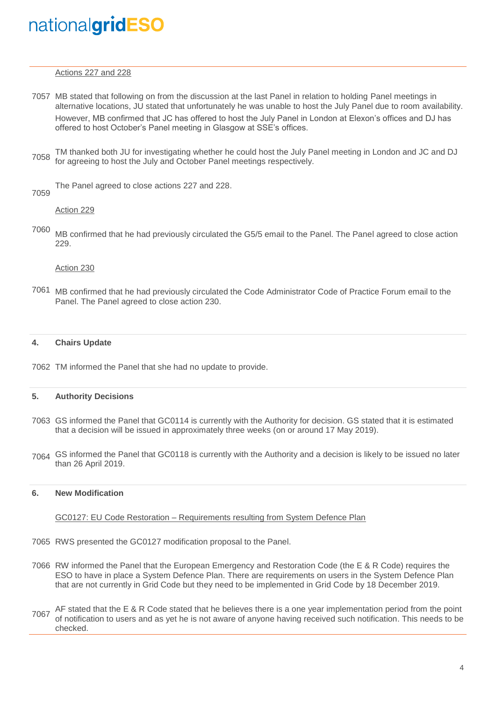Actions 227 and 228

- 7057 MB stated that following on from the discussion at the last Panel in relation to holding Panel meetings in alternative locations, JU stated that unfortunately he was unable to host the July Panel due to room availability. However, MB confirmed that JC has offered to host the July Panel in London at Elexon's offices and DJ has offered to host October's Panel meeting in Glasgow at SSE's offices.
- 7058 TM thanked both JU for investigating whether he could host the July Panel meeting in London and JC and DJ for agreeing to host the July and October Panel meetings respectively.

The Panel agreed to close actions 227 and 228.

7059

Action 229

7060 MB confirmed that he had previously circulated the G5/5 email to the Panel. The Panel agreed to close action 229.

Action 230

7061 MB confirmed that he had previously circulated the Code Administrator Code of Practice Forum email to the Panel. The Panel agreed to close action 230.

#### **4. Chairs Update**

7062 TM informed the Panel that she had no update to provide.

#### **5. Authority Decisions**

- 7063 GS informed the Panel that GC0114 is currently with the Authority for decision. GS stated that it is estimated that a decision will be issued in approximately three weeks (on or around 17 May 2019).
- 7064 GS informed the Panel that GC0118 is currently with the Authority and a decision is likely to be issued no later than 26 April 2019.

#### **6. New Modification**

#### GC0127: EU Code Restoration – Requirements resulting from System Defence Plan

- 7065 RWS presented the GC0127 modification proposal to the Panel.
- 7066 RW informed the Panel that the European Emergency and Restoration Code (the E & R Code) requires the ESO to have in place a System Defence Plan. There are requirements on users in the System Defence Plan that are not currently in Grid Code but they need to be implemented in Grid Code by 18 December 2019.
- 7067 AF stated that the E & R Code stated that he believes there is a one year implementation period from the point<br>This people to be users and so ust be in not sures of spusne beying resoluted such petitiestics. This peop of notification to users and as yet he is not aware of anyone having received such notification. This needs to be checked.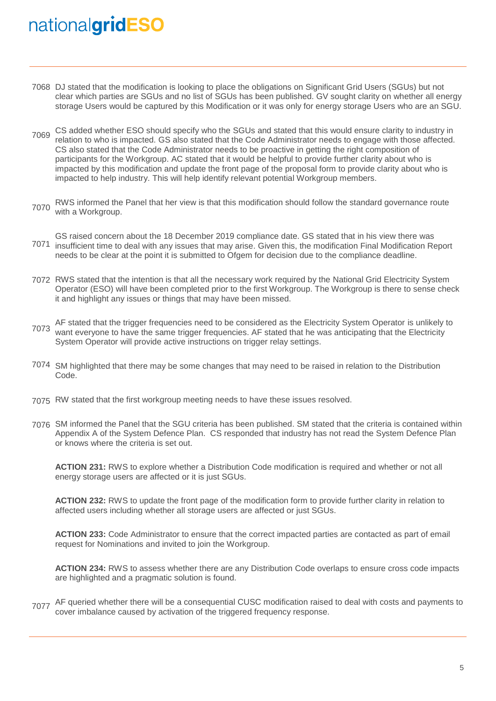- 7068 DJ stated that the modification is looking to place the obligations on Significant Grid Users (SGUs) but not clear which parties are SGUs and no list of SGUs has been published. GV sought clarity on whether all energy storage Users would be captured by this Modification or it was only for energy storage Users who are an SGU.
- 7069 CS added whether ESO should specify who the SGUs and stated that this would ensure clarity to industry in<br>The solution to who is imported CS also stated that the Code Administrator peods to engage with these effected relation to who is impacted. GS also stated that the Code Administrator needs to engage with those affected. CS also stated that the Code Administrator needs to be proactive in getting the right composition of participants for the Workgroup. AC stated that it would be helpful to provide further clarity about who is impacted by this modification and update the front page of the proposal form to provide clarity about who is impacted to help industry. This will help identify relevant potential Workgroup members.
- 7070 RWS informed the Panel that her view is that this modification should follow the standard governance route with a Workgroup.
- 7071 insufficient time to deal with any issues that may arise. Given this, the modification Final Modification Report GS raised concern about the 18 December 2019 compliance date. GS stated that in his view there was needs to be clear at the point it is submitted to Ofgem for decision due to the compliance deadline.
- 7072 RWS stated that the intention is that all the necessary work required by the National Grid Electricity System Operator (ESO) will have been completed prior to the first Workgroup. The Workgroup is there to sense check it and highlight any issues or things that may have been missed.
- 7073 want everyone to have the same trigger frequencies. AF stated that he was anticipating that the Electricity AF stated that the trigger frequencies need to be considered as the Electricity System Operator is unlikely to System Operator will provide active instructions on trigger relay settings.
- 7074 SM highlighted that there may be some changes that may need to be raised in relation to the Distribution Code.
- 7075 RW stated that the first workgroup meeting needs to have these issues resolved.
- 7076 SM informed the Panel that the SGU criteria has been published. SM stated that the criteria is contained within Appendix A of the System Defence Plan. CS responded that industry has not read the System Defence Plan or knows where the criteria is set out.

**ACTION 231:** RWS to explore whether a Distribution Code modification is required and whether or not all energy storage users are affected or it is just SGUs.

**ACTION 232:** RWS to update the front page of the modification form to provide further clarity in relation to affected users including whether all storage users are affected or just SGUs.

**ACTION 233:** Code Administrator to ensure that the correct impacted parties are contacted as part of email request for Nominations and invited to join the Workgroup.

**ACTION 234:** RWS to assess whether there are any Distribution Code overlaps to ensure cross code impacts are highlighted and a pragmatic solution is found.

7077 AF queried whether there will be a consequential CUSC modification raised to deal with costs and payments to cover imbalance caused by activation of the triggered frequency response.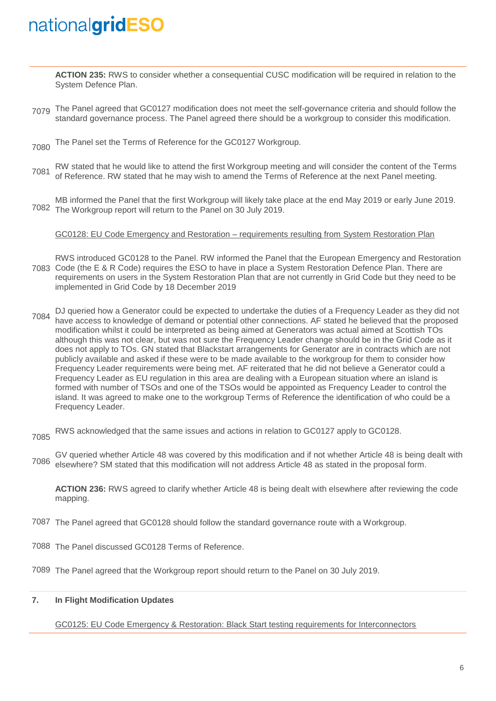**ACTION 235:** RWS to consider whether a consequential CUSC modification will be required in relation to the System Defence Plan.

- 7079 The Panel agreed that GC0127 modification does not meet the self-governance criteria and should follow the standard governance process. The Panel agreed there should be a workgroup to consider this modification.
- 7080 The Panel set the Terms of Reference for the GC0127 Workgroup.
- 7081 RW stated that he would like to attend the first Workgroup meeting and will consider the content of the Terms of Reference. RW stated that he may wish to amend the Terms of Reference at the next Panel meeting.

7082 The Workgroup report will return to the Panel on 30 July 2019. MB informed the Panel that the first Workgroup will likely take place at the end May 2019 or early June 2019.

GC0128: EU Code Emergency and Restoration – requirements resulting from System Restoration Plan

- 7083 Code (the E & R Code) requires the ESO to have in place a System Restoration Defence Plan. There are RWS introduced GC0128 to the Panel. RW informed the Panel that the European Emergency and Restoration requirements on users in the System Restoration Plan that are not currently in Grid Code but they need to be implemented in Grid Code by 18 December 2019
- 7084 DJ queried how a Generator could be expected to undertake the duties of a Frequency Leader as they did not have access to knowledge of demand or potential other connections. AF stated he believed that the proposed modification whilst it could be interpreted as being aimed at Generators was actual aimed at Scottish TOs although this was not clear, but was not sure the Frequency Leader change should be in the Grid Code as it does not apply to TOs. GN stated that Blackstart arrangements for Generator are in contracts which are not publicly available and asked if these were to be made available to the workgroup for them to consider how Frequency Leader requirements were being met. AF reiterated that he did not believe a Generator could a Frequency Leader as EU regulation in this area are dealing with a European situation where an island is formed with number of TSOs and one of the TSOs would be appointed as Frequency Leader to control the island. It was agreed to make one to the workgroup Terms of Reference the identification of who could be a Frequency Leader.
- 7085 RWS acknowledged that the same issues and actions in relation to GC0127 apply to GC0128.
- 7086 GV queried whether Article 48 was covered by this modification and if not whether Article 48 is being dealt with elsewhere? SM stated that this modification will not address Article 48 as stated in the proposal form.

**ACTION 236:** RWS agreed to clarify whether Article 48 is being dealt with elsewhere after reviewing the code mapping.

- 7087 The Panel agreed that GC0128 should follow the standard governance route with a Workgroup.
- 7088 The Panel discussed GC0128 Terms of Reference.

7089 The Panel agreed that the Workgroup report should return to the Panel on 30 July 2019.

## **7. In Flight Modification Updates**

GC0125: EU Code Emergency & Restoration: Black Start testing requirements for Interconnectors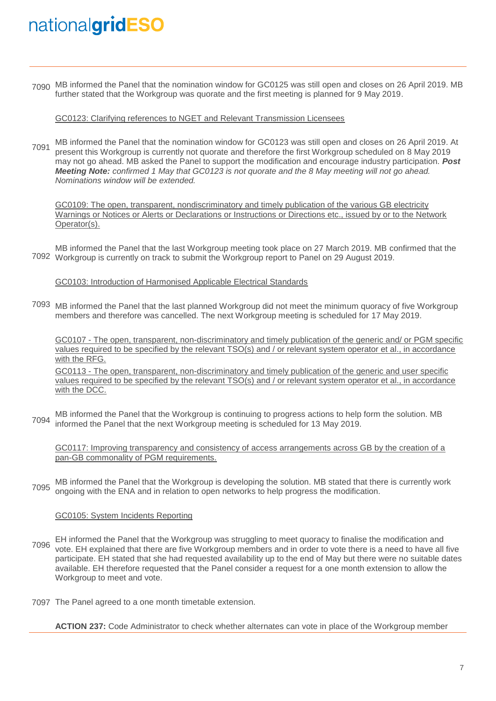7090 MB informed the Panel that the nomination window for GC0125 was still open and closes on 26 April 2019. MB further stated that the Workgroup was quorate and the first meeting is planned for 9 May 2019.

GC0123: Clarifying references to NGET and Relevant Transmission Licensees

7091 MB informed the Panel that the nomination window for GC0123 was still open and closes on 26 April 2019. At present this Workgroup is currently not quorate and therefore the first Workgroup scheduled on 8 May 2019 may not go ahead. MB asked the Panel to support the modification and encourage industry participation. *Post Meeting Note: confirmed 1 May that GC0123 is not quorate and the 8 May meeting will not go ahead. Nominations window will be extended.*

GC0109: The open, transparent, nondiscriminatory and timely publication of the various GB electricity Warnings or Notices or Alerts or Declarations or Instructions or Directions etc., issued by or to the Network Operator(s).

7092 Workgroup is currently on track to submit the Workgroup report to Panel on 29 August 2019. MB informed the Panel that the last Workgroup meeting took place on 27 March 2019. MB confirmed that the

GC0103: Introduction of Harmonised Applicable Electrical Standards

7093 MB informed the Panel that the last planned Workgroup did not meet the minimum quoracy of five Workgroup members and therefore was cancelled. The next Workgroup meeting is scheduled for 17 May 2019.

GC0107 - The open, transparent, non-discriminatory and timely publication of the generic and/ or PGM specific values required to be specified by the relevant TSO(s) and / or relevant system operator et al., in accordance with the RFG.

GC0113 - The open, transparent, non-discriminatory and timely publication of the generic and user specific values required to be specified by the relevant TSO(s) and / or relevant system operator et al., in accordance with the DCC.

7094 MB informed the Panel that the Workgroup is continuing to progress actions to help form the solution. MB informed the Panel that the next Workgroup meeting is scheduled for 13 May 2019.

GC0117: Improving transparency and consistency of access arrangements across GB by the creation of a pan-GB commonality of PGM requirements.

7095 MB informed the Panel that the Workgroup is developing the solution. MB stated that there is currently work ongoing with the ENA and in relation to open networks to help progress the modification.

## GC0105: System Incidents Reporting

- 7096 vote. EH explained that there are five Workgroup members and in order to vote there is a need to have all five EH informed the Panel that the Workgroup was struggling to meet quoracy to finalise the modification and participate. EH stated that she had requested availability up to the end of May but there were no suitable dates available. EH therefore requested that the Panel consider a request for a one month extension to allow the Workgroup to meet and vote.
- 7097 The Panel agreed to a one month timetable extension.

**ACTION 237:** Code Administrator to check whether alternates can vote in place of the Workgroup member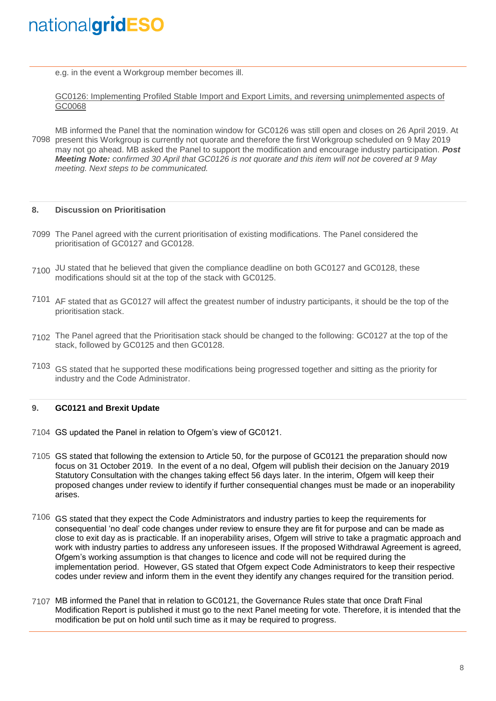e.g. in the event a Workgroup member becomes ill.

GC0126: Implementing Profiled Stable Import and Export Limits, and reversing unimplemented aspects of GC0068

7098 present this Workgroup is currently not quorate and therefore the first Workgroup scheduled on 9 May 2019 MB informed the Panel that the nomination window for GC0126 was still open and closes on 26 April 2019. At may not go ahead. MB asked the Panel to support the modification and encourage industry participation. *Post Meeting Note: confirmed 30 April that GC0126 is not quorate and this item will not be covered at 9 May meeting. Next steps to be communicated.*

#### **8. Discussion on Prioritisation**

- 7099 The Panel agreed with the current prioritisation of existing modifications. The Panel considered the prioritisation of GC0127 and GC0128.
- 7100 JU stated that he believed that given the compliance deadline on both GC0127 and GC0128, these modifications should sit at the top of the stack with GC0125.
- 7101 AF stated that as GC0127 will affect the greatest number of industry participants, it should be the top of the prioritisation stack.
- 7102 The Panel agreed that the Prioritisation stack should be changed to the following: GC0127 at the top of the stack, followed by GC0125 and then GC0128.
- 7103 GS stated that he supported these modifications being progressed together and sitting as the priority for industry and the Code Administrator.

#### **9. GC0121 and Brexit Update**

- 7104 GS updated the Panel in relation to Ofgem's view of GC0121.
- 7105 GS stated that following the extension to Article 50, for the purpose of GC0121 the preparation should now focus on 31 October 2019. In the event of a no deal, Ofgem will publish their decision on the January 2019 Statutory Consultation with the changes taking effect 56 days later. In the interim, Ofgem will keep their proposed changes under review to identify if further consequential changes must be made or an inoperability arises.
- 7106 GS stated that they expect the Code Administrators and industry parties to keep the requirements for consequential 'no deal' code changes under review to ensure they are fit for purpose and can be made as close to exit day as is practicable. If an inoperability arises, Ofgem will strive to take a pragmatic approach and work with industry parties to address any unforeseen issues. If the proposed Withdrawal Agreement is agreed, Ofgem's working assumption is that changes to licence and code will not be required during the implementation period. However, GS stated that Ofgem expect Code Administrators to keep their respective codes under review and inform them in the event they identify any changes required for the transition period.
- 7107 MB informed the Panel that in relation to GC0121, the Governance Rules state that once Draft Final Modification Report is published it must go to the next Panel meeting for vote. Therefore, it is intended that the modification be put on hold until such time as it may be required to progress.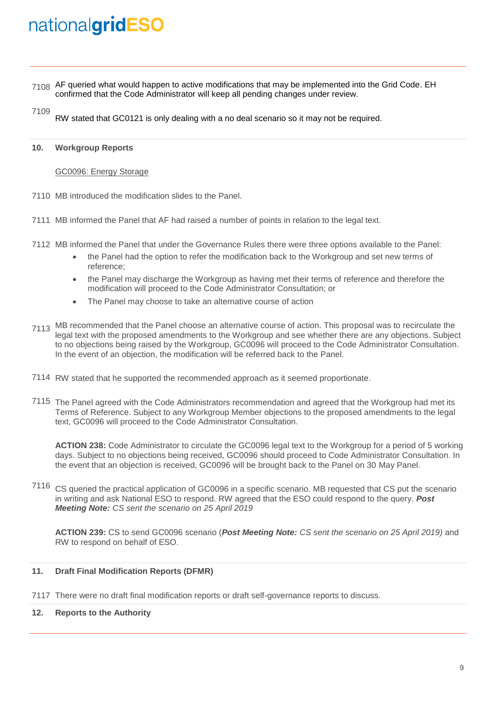- 7108 AF queried what would happen to active modifications that may be implemented into the Grid Code. EH confirmed that the Code Administrator will keep all pending changes under review.
- 7109 RW stated that GC0121 is only dealing with a no deal scenario so it may not be required.

#### **10. Workgroup Reports**

### GC0096: Energy Storage

- 7110 MB introduced the modification slides to the Panel.
- 7111 MB informed the Panel that AF had raised a number of points in relation to the legal text.
- 7112 MB informed the Panel that under the Governance Rules there were three options available to the Panel:
	- the Panel had the option to refer the modification back to the Workgroup and set new terms of reference;
	- the Panel may discharge the Workgroup as having met their terms of reference and therefore the modification will proceed to the Code Administrator Consultation; or
	- The Panel may choose to take an alternative course of action
- 7113 MB recommended that the Panel choose an alternative course of action. This proposal was to recirculate the legal text with the proposed amendments to the Workgroup and see whether there are any objections. Subject to no objections being raised by the Workgroup, GC0096 will proceed to the Code Administrator Consultation. In the event of an objection, the modification will be referred back to the Panel.
- 7114 RW stated that he supported the recommended approach as it seemed proportionate.
- 7115 The Panel agreed with the Code Administrators recommendation and agreed that the Workgroup had met its Terms of Reference. Subject to any Workgroup Member objections to the proposed amendments to the legal text, GC0096 will proceed to the Code Administrator Consultation.

**ACTION 238:** Code Administrator to circulate the GC0096 legal text to the Workgroup for a period of 5 working days. Subject to no objections being received, GC0096 should proceed to Code Administrator Consultation. In the event that an objection is received, GC0096 will be brought back to the Panel on 30 May Panel.

7116 CS queried the practical application of GC0096 in a specific scenario. MB requested that CS put the scenario in writing and ask National ESO to respond. RW agreed that the ESO could respond to the query. *Post Meeting Note: CS sent the scenario on 25 April 2019*

**ACTION 239:** CS to send GC0096 scenario (*Post Meeting Note: CS sent the scenario on 25 April 2019)* and RW to respond on behalf of ESO.

#### **11. Draft Final Modification Reports (DFMR)**

7117 There were no draft final modification reports or draft self-governance reports to discuss.

### **12. Reports to the Authority**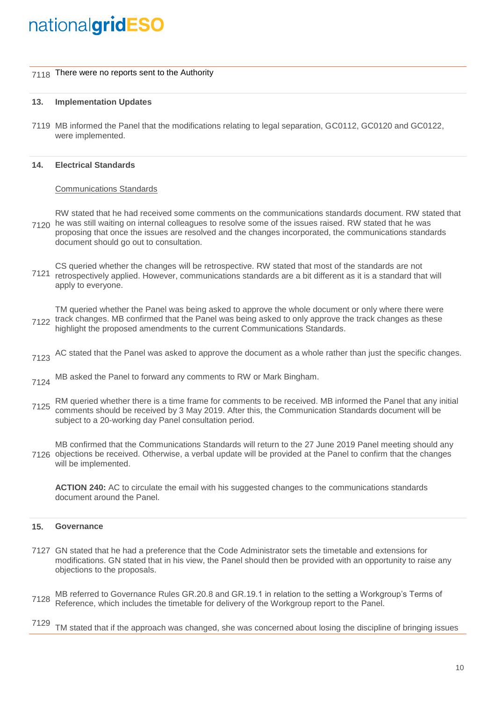## 7118 There were no reports sent to the Authority

#### **13. Implementation Updates**

7119 MB informed the Panel that the modifications relating to legal separation, GC0112, GC0120 and GC0122, were implemented.

#### **14. Electrical Standards**

### Communications Standards

7120 he was still waiting on internal colleagues to resolve some of the issues raised. RW stated that he was RW stated that he had received some comments on the communications standards document. RW stated that proposing that once the issues are resolved and the changes incorporated, the communications standards document should go out to consultation.

7121 retrospectively applied. However, communications standards are a bit different as it is a standard that will CS queried whether the changes will be retrospective. RW stated that most of the standards are not apply to everyone.

7122 track changes. MB confirmed that the Panel was being asked to only approve the track changes as these TM queried whether the Panel was being asked to approve the whole document or only where there were highlight the proposed amendments to the current Communications Standards.

- 7123 AC stated that the Panel was asked to approve the document as a whole rather than just the specific changes.
- 7124 MB asked the Panel to forward any comments to RW or Mark Bingham.
- 7125 RM queried whether there is a time frame for comments to be received. MB informed the Panel that any initial comments should be received by 3 May 2019. After this, the Communication Standards document will be subject to a 20-working day Panel consultation period.

7126 objections be received. Otherwise, a verbal update will be provided at the Panel to confirm that the changes MB confirmed that the Communications Standards will return to the 27 June 2019 Panel meeting should any will be implemented.

**ACTION 240:** AC to circulate the email with his suggested changes to the communications standards document around the Panel.

#### **15. Governance**

- 7127 GN stated that he had a preference that the Code Administrator sets the timetable and extensions for modifications. GN stated that in his view, the Panel should then be provided with an opportunity to raise any objections to the proposals.
- 7128 MB referred to Governance Rules GR.20.8 and GR.19.1 in relation to the setting a Workgroup's Terms of Reference, which includes the timetable for delivery of the Workgroup report to the Panel.
- 7129 TM stated that if the approach was changed, she was concerned about losing the discipline of bringing issues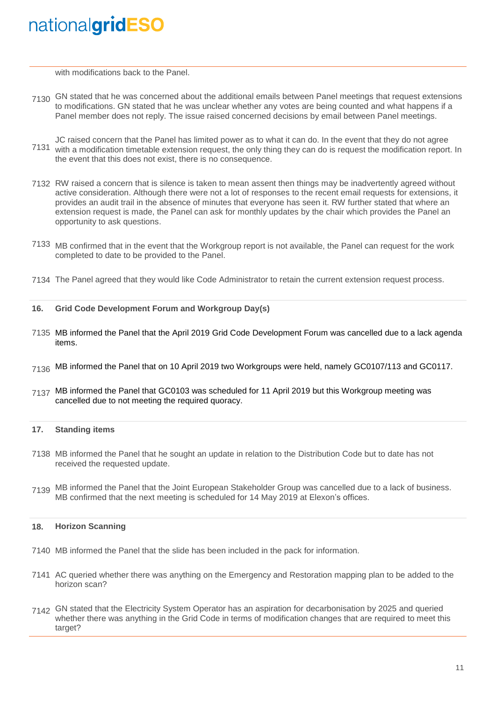with modifications back to the Panel.

- 7130 GN stated that he was concerned about the additional emails between Panel meetings that request extensions to modifications. GN stated that he was unclear whether any votes are being counted and what happens if a Panel member does not reply. The issue raised concerned decisions by email between Panel meetings.
- 7131 with a modification timetable extension request, the only thing they can do is request the modification report. In JC raised concern that the Panel has limited power as to what it can do. In the event that they do not agree the event that this does not exist, there is no consequence.
- 7132 RW raised a concern that is silence is taken to mean assent then things may be inadvertently agreed without active consideration. Although there were not a lot of responses to the recent email requests for extensions, it provides an audit trail in the absence of minutes that everyone has seen it. RW further stated that where an extension request is made, the Panel can ask for monthly updates by the chair which provides the Panel an opportunity to ask questions.
- 7133 MB confirmed that in the event that the Workgroup report is not available, the Panel can request for the work completed to date to be provided to the Panel.
- 7134 The Panel agreed that they would like Code Administrator to retain the current extension request process.
- **16. Grid Code Development Forum and Workgroup Day(s)**
- 7135 MB informed the Panel that the April 2019 Grid Code Development Forum was cancelled due to a lack agenda items.
- $_{7136}$  MB informed the Panel that on 10 April 2019 two Workgroups were held, namely GC0107/113 and GC0117.
- 7137 MB informed the Panel that GC0103 was scheduled for 11 April 2019 but this Workgroup meeting was cancelled due to not meeting the required quoracy.

#### **17. Standing items**

- 7138 MB informed the Panel that he sought an update in relation to the Distribution Code but to date has not received the requested update.
- 7139 MB informed the Panel that the Joint European Stakeholder Group was cancelled due to a lack of business. MB confirmed that the next meeting is scheduled for 14 May 2019 at Elexon's offices.

#### **18. Horizon Scanning**

- 7140 MB informed the Panel that the slide has been included in the pack for information.
- 7141 AC queried whether there was anything on the Emergency and Restoration mapping plan to be added to the horizon scan?
- 7142 GN stated that the Electricity System Operator has an aspiration for decarbonisation by 2025 and queried whether there was anything in the Grid Code in terms of modification changes that are required to meet this target?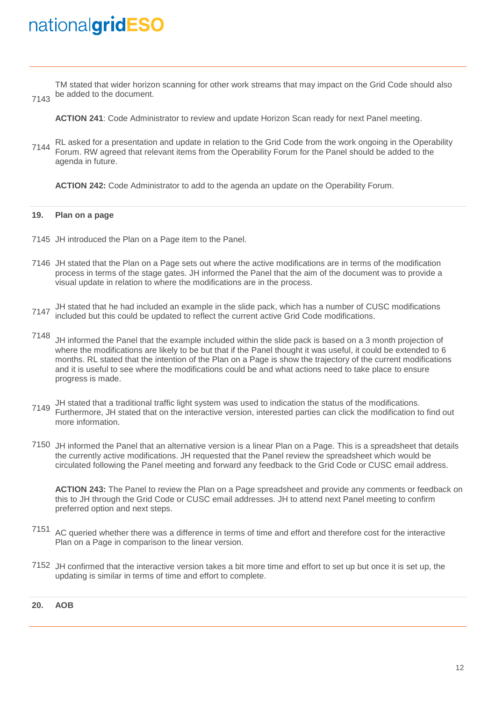TM stated that wider horizon scanning for other work streams that may impact on the Grid Code should also be added to the document.

7143

**ACTION 241**: Code Administrator to review and update Horizon Scan ready for next Panel meeting.

7144 RL asked for a presentation and update in relation to the Grid Code from the work ongoing in the Operability Forum. RW agreed that relevant items from the Operability Forum for the Panel should be added to the agenda in future.

**ACTION 242:** Code Administrator to add to the agenda an update on the Operability Forum.

#### **19. Plan on a page**

- 7145 JH introduced the Plan on a Page item to the Panel.
- 7146 JH stated that the Plan on a Page sets out where the active modifications are in terms of the modification process in terms of the stage gates. JH informed the Panel that the aim of the document was to provide a visual update in relation to where the modifications are in the process.
- 7147 JH stated that he had included an example in the slide pack, which has a number of CUSC modifications included but this could be updated to reflect the current active Grid Code modifications.
- 7148 JH informed the Panel that the example included within the slide pack is based on a 3 month projection of where the modifications are likely to be but that if the Panel thought it was useful, it could be extended to 6 months. RL stated that the intention of the Plan on a Page is show the trajectory of the current modifications and it is useful to see where the modifications could be and what actions need to take place to ensure progress is made.
- 7149 JH stated that a traditional traffic light system was used to indication the status of the modifications. Furthermore, JH stated that on the interactive version, interested parties can click the modification to find out more information.
- 7150 JH informed the Panel that an alternative version is a linear Plan on a Page. This is a spreadsheet that details the currently active modifications. JH requested that the Panel review the spreadsheet which would be circulated following the Panel meeting and forward any feedback to the Grid Code or CUSC email address.

**ACTION 243:** The Panel to review the Plan on a Page spreadsheet and provide any comments or feedback on this to JH through the Grid Code or CUSC email addresses. JH to attend next Panel meeting to confirm preferred option and next steps.

- 7151 AC queried whether there was a difference in terms of time and effort and therefore cost for the interactive Plan on a Page in comparison to the linear version.
- 7152 JH confirmed that the interactive version takes a bit more time and effort to set up but once it is set up, the updating is similar in terms of time and effort to complete.

### **20. AOB**